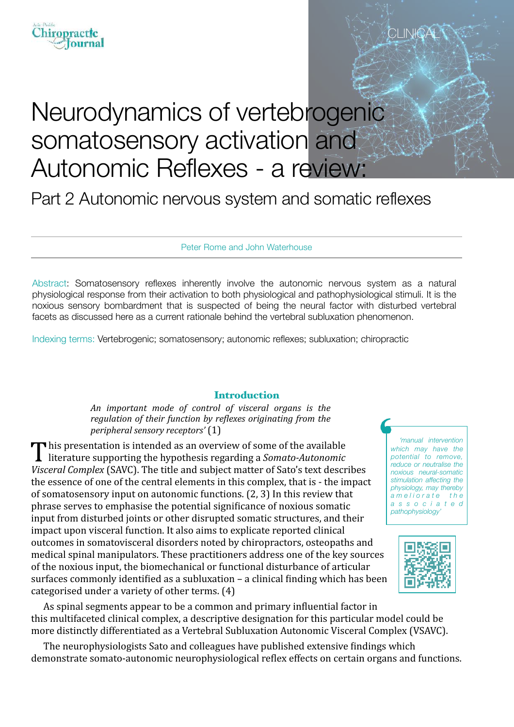# iropractic ournal

# Neurodynamics of vertebrogenic somatosensory activation and Autonomic Reflexes - a review:

Part 2 Autonomic nervous system and somatic reflexes

Peter Rome and John Waterhouse

Abstract: Somatosensory reflexes inherently involve the autonomic nervous system as a natural physiological response from their activation to both physiological and pathophysiological stimuli. It is the noxious sensory bombardment that is suspected of being the neural factor with disturbed vertebral facets as discussed here as a current rationale behind the vertebral subluxation phenomenon.

Indexing terms: Vertebrogenic; somatosensory; autonomic reflexes; subluxation; chiropractic

### **Introduction**

An important mode of control of visceral organs is the *regulation of their function by reflexes originating from the peripheral sensory receptors'* (1)

This presentation is intended as an overview of some of the available literature supporting the hypothesis regarding a *Somato-Autonomic Visceral Complex* (SAVC). The title and subject matter of Sato's text describes the essence of one of the central elements in this complex, that is - the impact of somatosensory input on autonomic functions.  $(2, 3)$  In this review that phrase serves to emphasise the potential significance of noxious somatic input from disturbed joints or other disrupted somatic structures, and their impact upon visceral function. It also aims to explicate reported clinical outcomes in somatovisceral disorders noted by chiropractors, osteopaths and medical spinal manipulators. These practitioners address one of the key sources of the noxious input, the biomechanical or functional disturbance of articular surfaces commonly identified as a subluxation  $-$  a clinical finding which has been categorised under a variety of other terms.  $(4)$ 

*'manual intervention which may have the potential to remove, reduce or neutralise the noxious neural-somatic stimulation affecting the physiology, may thereby a m e l i o r a t e t h e a s s o c i a t e d pathophysiology'* 

CLINICA



As spinal segments appear to be a common and primary influential factor in this multifaceted clinical complex, a descriptive designation for this particular model could be more distinctly differentiated as a Vertebral Subluxation Autonomic Visceral Complex (VSAVC).

The neurophysiologists Sato and colleagues have published extensive findings which demonstrate somato-autonomic neurophysiological reflex effects on certain organs and functions.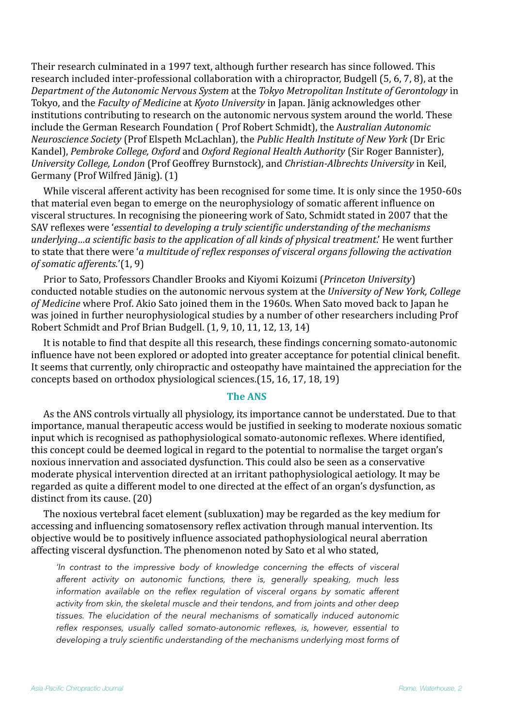Their research culminated in a 1997 text, although further research has since followed. This research included inter-professional collaboration with a chiropractor, Budgell (5, 6, 7, 8), at the *Department of the Autonomic Nervous System* at the *Tokyo Metropolitan Institute of Gerontology* in Tokyo, and the *Faculty of Medicine* at *Kyoto University* in Japan. Jänig acknowledges other institutions contributing to research on the autonomic nervous system around the world. These include the German Research Foundation (Prof Robert Schmidt), the Australian Autonomic *Neuroscience Society* (Prof Elspeth McLachlan), the *Public Health Institute of New York* (Dr Eric Kandel), Pembroke College, Oxford and Oxford Regional Health Authority (Sir Roger Bannister), *University College, London* (Prof Geoffrey Burnstock), and *Christian-Albrechts University* in Keil, Germany (Prof Wilfred Jänig). (1)

While visceral afferent activity has been recognised for some time. It is only since the 1950-60s that material even began to emerge on the neurophysiology of somatic afferent influence on visceral structures. In recognising the pioneering work of Sato, Schmidt stated in 2007 that the SAV reflexes were '*essential to developing a truly scientific understanding of the mechanisms underlying...a scientific basis to the application of all kinds of physical treatment.'* He went further to state that there were '*a* multitude of reflex responses of visceral organs following the activation *of somatic afferents.*'(1, 9)

Prior to Sato, Professors Chandler Brooks and Kiyomi Koizumi (*Princeton University*) conducted notable studies on the autonomic nervous system at the *University of New York, College* of *Medicine* where Prof. Akio Sato joined them in the 1960s. When Sato moved back to Japan he was joined in further neurophysiological studies by a number of other researchers including Prof Robert Schmidt and Prof Brian Budgell. (1, 9, 10, 11, 12, 13, 14)

It is notable to find that despite all this research, these findings concerning somato-autonomic influence have not been explored or adopted into greater acceptance for potential clinical benefit. It seems that currently, only chiropractic and osteopathy have maintained the appreciation for the concepts based on orthodox physiological sciences.(15, 16, 17, 18, 19)

#### **The ANS**

As the ANS controls virtually all physiology, its importance cannot be understated. Due to that importance, manual therapeutic access would be justified in seeking to moderate noxious somatic input which is recognised as pathophysiological somato-autonomic reflexes. Where identified. this concept could be deemed logical in regard to the potential to normalise the target organ's noxious innervation and associated dysfunction. This could also be seen as a conservative moderate physical intervention directed at an irritant pathophysiological aetiology. It may be regarded as quite a different model to one directed at the effect of an organ's dysfunction, as distinct from its cause.  $(20)$ 

The noxious vertebral facet element (subluxation) may be regarded as the key medium for accessing and influencing somatosensory reflex activation through manual intervention. Its objective would be to positively influence associated pathophysiological neural aberration affecting visceral dysfunction. The phenomenon noted by Sato et al who stated,

*'In contrast to the impressive body of knowledge concerning the effects of visceral afferent activity on autonomic functions, there is, generally speaking, much less*  information available on the reflex regulation of visceral organs by somatic afferent *activity from skin, the skeletal muscle and their tendons, and from joints and other deep tissues. The elucidation of the neural mechanisms of somatically induced autonomic reflex responses, usually called somato-autonomic reflexes, is, however, essential to*  developing a truly scientific understanding of the mechanisms underlying most forms of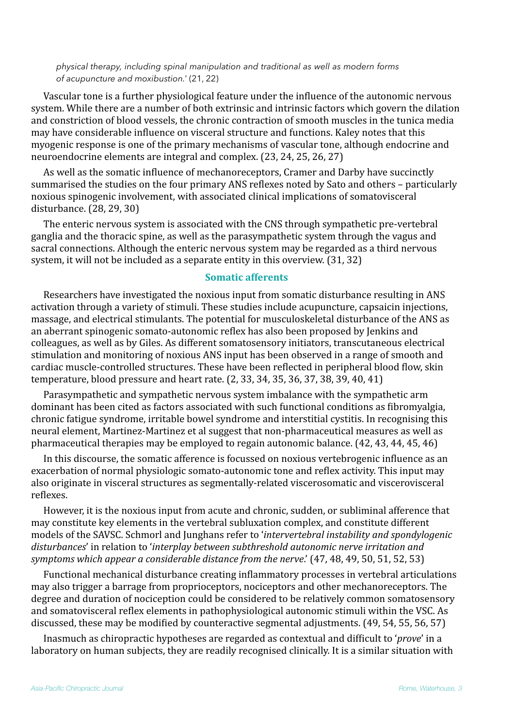*physical therapy, including spinal manipulation and traditional as well as modern forms of acupuncture and moxibustion.*' (21, 22)

Vascular tone is a further physiological feature under the influence of the autonomic nervous system. While there are a number of both extrinsic and intrinsic factors which govern the dilation and constriction of blood vessels, the chronic contraction of smooth muscles in the tunica media may have considerable influence on visceral structure and functions. Kaley notes that this myogenic response is one of the primary mechanisms of vascular tone, although endocrine and neuroendocrine elements are integral and complex.  $(23, 24, 25, 26, 27)$ 

As well as the somatic influence of mechanoreceptors, Cramer and Darby have succinctly summarised the studies on the four primary ANS reflexes noted by Sato and others – particularly noxious spinogenic involvement, with associated clinical implications of somatovisceral disturbance. (28, 29, 30)

The enteric nervous system is associated with the CNS through sympathetic pre-vertebral ganglia and the thoracic spine, as well as the parasympathetic system through the vagus and sacral connections. Although the enteric nervous system may be regarded as a third nervous system, it will not be included as a separate entity in this overview.  $(31, 32)$ 

#### **Somatic afferents**

Researchers have investigated the noxious input from somatic disturbance resulting in ANS activation through a variety of stimuli. These studies include acupuncture, capsaicin injections, massage, and electrical stimulants. The potential for musculoskeletal disturbance of the ANS as an aberrant spinogenic somato-autonomic reflex has also been proposed by Jenkins and colleagues, as well as by Giles. As different somatosensory initiators, transcutaneous electrical stimulation and monitoring of noxious ANS input has been observed in a range of smooth and cardiac muscle-controlled structures. These have been reflected in peripheral blood flow, skin temperature, blood pressure and heart rate.  $(2, 33, 34, 35, 36, 37, 38, 39, 40, 41)$ 

Parasympathetic and sympathetic nervous system imbalance with the sympathetic arm dominant has been cited as factors associated with such functional conditions as fibromyalgia, chronic fatigue syndrome, irritable bowel syndrome and interstitial cystitis. In recognising this neural element, Martinez-Martinez et al suggest that non-pharmaceutical measures as well as pharmaceutical therapies may be employed to regain autonomic balance.  $(42, 43, 44, 45, 46)$ 

In this discourse, the somatic afference is focussed on noxious vertebrogenic influence as an exacerbation of normal physiologic somato-autonomic tone and reflex activity. This input may also originate in visceral structures as segmentally-related viscerosomatic and viscerovisceral reflexes.

However, it is the noxious input from acute and chronic, sudden, or subliminal afference that may constitute key elements in the vertebral subluxation complex, and constitute different models of the SAVSC. Schmorl and Junghans refer to *'intervertebral instability and spondylogenic* disturbances' in relation to 'interplay between subthreshold autonomic nerve irritation and *symptoms which appear a considerable distance from the nerve*.' (47, 48, 49, 50, 51, 52, 53)

Functional mechanical disturbance creating inflammatory processes in vertebral articulations may also trigger a barrage from proprioceptors, nociceptors and other mechanoreceptors. The degree and duration of nociception could be considered to be relatively common somatosensory and somatovisceral reflex elements in pathophysiological autonomic stimuli within the VSC. As discussed, these may be modified by counteractive segmental adjustments.  $(49, 54, 55, 56, 57)$ 

Inasmuch as chiropractic hypotheses are regarded as contextual and difficult to '*prove*' in a laboratory on human subjects, they are readily recognised clinically. It is a similar situation with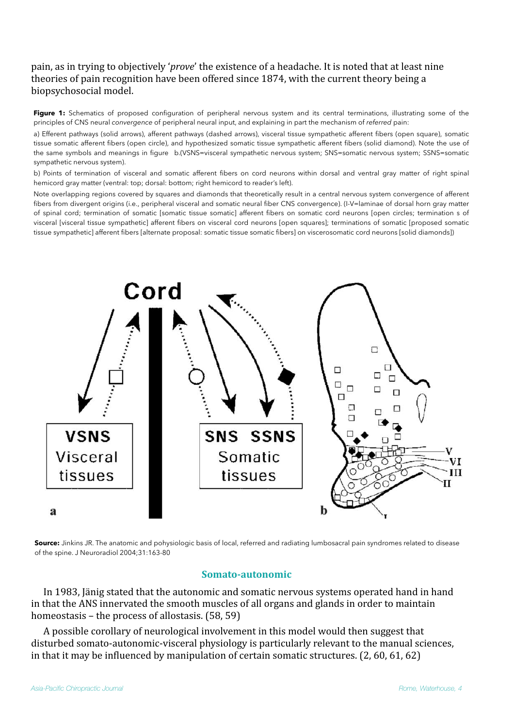# pain, as in trying to objectively '*prove*' the existence of a headache. It is noted that at least nine theories of pain recognition have been offered since 1874, with the current theory being a biopsychosocial model.

Figure 1: Schematics of proposed configuration of peripheral nervous system and its central terminations, illustrating some of the principles of CNS neural *convergence* of peripheral neural input, and explaining in part the mechanism of *referred* pain:

a) Efferent pathways (solid arrows), afferent pathways (dashed arrows), visceral tissue sympathetic afferent fibers (open square), somatic tissue somatic afferent fibers (open circle), and hypothesized somatic tissue sympathetic afferent fibers (solid diamond). Note the use of the same symbols and meanings in figure b.(VSNS=visceral sympathetic nervous system; SNS=somatic nervous system; SSNS=somatic sympathetic nervous system).

b) Points of termination of visceral and somatic afferent fibers on cord neurons within dorsal and ventral gray matter of right spinal hemicord gray matter (ventral: top; dorsal: bottom; right hemicord to reader's left).

Note overlapping regions covered by squares and diamonds that theoretically result in a central nervous system convergence of afferent fibers from divergent origins (i.e., peripheral visceral and somatic neural fiber CNS convergence). (I-V=laminae of dorsal horn gray matter of spinal cord; termination of somatic [somatic tissue somatic] afferent fibers on somatic cord neurons [open circles; termination s of visceral [visceral tissue sympathetic] afferent fibers on visceral cord neurons [open squares]; terminations of somatic [proposed somatic tissue sympathetic] afferent fibers [alternate proposal: somatic tissue somatic fibers] on viscerosomatic cord neurons [solid diamonds])



**Source:** Jinkins JR. The anatomic and pohysiologic basis of local, referred and radiating lumbosacral pain syndromes related to disease of the spine. J Neuroradiol 2004;31:163-80

#### **Somato-autonomic**

In 1983, Jänig stated that the autonomic and somatic nervous systems operated hand in hand in that the ANS innervated the smooth muscles of all organs and glands in order to maintain homeostasis – the process of allostasis.  $(58, 59)$ 

A possible corollary of neurological involvement in this model would then suggest that disturbed somato-autonomic-visceral physiology is particularly relevant to the manual sciences, in that it may be influenced by manipulation of certain somatic structures.  $(2, 60, 61, 62)$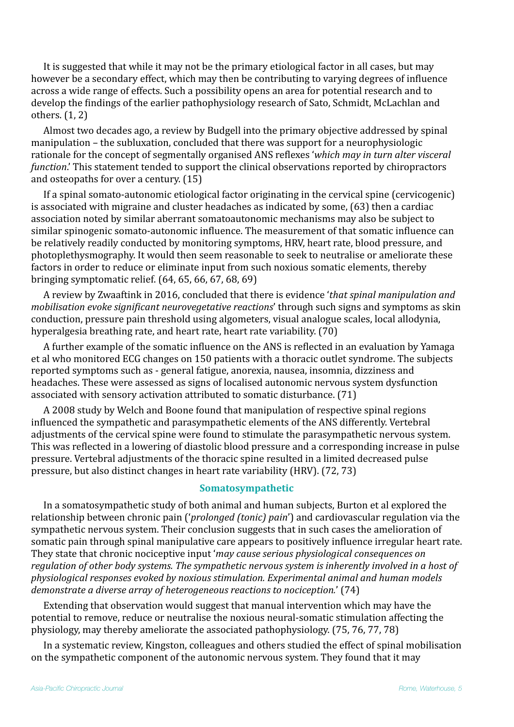It is suggested that while it may not be the primary etiological factor in all cases, but may however be a secondary effect, which may then be contributing to varying degrees of influence across a wide range of effects. Such a possibility opens an area for potential research and to develop the findings of the earlier pathophysiology research of Sato, Schmidt, McLachlan and others.  $(1, 2)$ 

Almost two decades ago, a review by Budgell into the primary objective addressed by spinal manipulation – the subluxation, concluded that there was support for a neurophysiologic rationale for the concept of segmentally organised ANS reflexes 'which may in turn alter visceral *function*.' This statement tended to support the clinical observations reported by chiropractors and osteopaths for over a century.  $(15)$ 

If a spinal somato-autonomic etiological factor originating in the cervical spine  $($ cervicogenic $)$ is associated with migraine and cluster headaches as indicated by some, (63) then a cardiac association noted by similar aberrant somatoautonomic mechanisms may also be subject to similar spinogenic somato-autonomic influence. The measurement of that somatic influence can be relatively readily conducted by monitoring symptoms, HRV, heart rate, blood pressure, and photoplethysmography. It would then seem reasonable to seek to neutralise or ameliorate these factors in order to reduce or eliminate input from such noxious somatic elements, thereby bringing symptomatic relief.  $(64, 65, 66, 67, 68, 69)$ 

A review by Zwaaftink in 2016, concluded that there is evidence '*that spinal manipulation and mobilisation evoke significant neurovegetative reactions'* through such signs and symptoms as skin conduction, pressure pain threshold using algometers, visual analogue scales, local allodynia, hyperalgesia breathing rate, and heart rate, heart rate variability. (70)

A further example of the somatic influence on the ANS is reflected in an evaluation by Yamaga et al who monitored ECG changes on 150 patients with a thoracic outlet syndrome. The subjects reported symptoms such as - general fatigue, anorexia, nausea, insomnia, dizziness and headaches. These were assessed as signs of localised autonomic nervous system dysfunction associated with sensory activation attributed to somatic disturbance. (71)

A 2008 study by Welch and Boone found that manipulation of respective spinal regions influenced the sympathetic and parasympathetic elements of the ANS differently. Vertebral adjustments of the cervical spine were found to stimulate the parasympathetic nervous system. This was reflected in a lowering of diastolic blood pressure and a corresponding increase in pulse pressure. Vertebral adjustments of the thoracic spine resulted in a limited decreased pulse pressure, but also distinct changes in heart rate variability (HRV). (72, 73)

## **Somatosympathetic**

In a somatosympathetic study of both animal and human subjects, Burton et al explored the relationship between chronic pain ('*prolonged (tonic) pain*') and cardiovascular regulation via the sympathetic nervous system. Their conclusion suggests that in such cases the amelioration of somatic pain through spinal manipulative care appears to positively influence irregular heart rate. They state that chronic nociceptive input '*may cause serious physiological consequences on* regulation of other body systems. The sympathetic nervous system is inherently involved in a host of physiological responses evoked by noxious stimulation. Experimental animal and human models *demonstrate a diverse array of heterogeneous reactions to nociception.'* (74)

Extending that observation would suggest that manual intervention which may have the potential to remove, reduce or neutralise the noxious neural-somatic stimulation affecting the physiology, may thereby ameliorate the associated pathophysiology.  $(75, 76, 77, 78)$ 

In a systematic review, Kingston, colleagues and others studied the effect of spinal mobilisation on the sympathetic component of the autonomic nervous system. They found that it may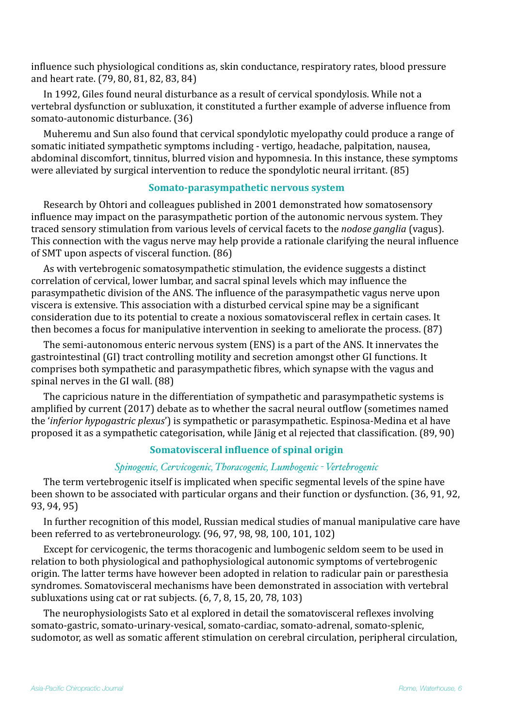influence such physiological conditions as, skin conductance, respiratory rates, blood pressure and heart rate. (79, 80, 81, 82, 83, 84)

In 1992, Giles found neural disturbance as a result of cervical spondylosis. While not a vertebral dysfunction or subluxation, it constituted a further example of adverse influence from somato-autonomic disturbance. (36)

Muheremu and Sun also found that cervical spondylotic myelopathy could produce a range of somatic initiated sympathetic symptoms including - vertigo, headache, palpitation, nausea, abdominal discomfort, tinnitus, blurred vision and hypomnesia. In this instance, these symptoms were alleviated by surgical intervention to reduce the spondylotic neural irritant. (85)

# **Somato-parasympathetic nervous system**

Research by Ohtori and colleagues published in 2001 demonstrated how somatosensory influence may impact on the parasympathetic portion of the autonomic nervous system. They traced sensory stimulation from various levels of cervical facets to the *nodose ganglia* (vagus). This connection with the vagus nerve may help provide a rationale clarifying the neural influence of SMT upon aspects of visceral function. (86)

As with vertebrogenic somatosympathetic stimulation, the evidence suggests a distinct correlation of cervical, lower lumbar, and sacral spinal levels which may influence the parasympathetic division of the ANS. The influence of the parasympathetic vagus nerve upon viscera is extensive. This association with a disturbed cervical spine may be a significant consideration due to its potential to create a noxious somatovisceral reflex in certain cases. It then becomes a focus for manipulative intervention in seeking to ameliorate the process. (87)

The semi-autonomous enteric nervous system (ENS) is a part of the ANS. It innervates the gastrointestinal (GI) tract controlling motility and secretion amongst other GI functions. It comprises both sympathetic and parasympathetic fibres, which synapse with the vagus and spinal nerves in the GI wall. (88)

The capricious nature in the differentiation of sympathetic and parasympathetic systems is amplified by current (2017) debate as to whether the sacral neural outflow (sometimes named the *'inferior hypogastric plexus'*) is sympathetic or parasympathetic. Espinosa-Medina et al have proposed it as a sympathetic categorisation, while Jänig et al rejected that classification. (89, 90)

## **Somatovisceral influence of spinal origin**

### *Spinogenic, Cervicogenic, Thoracogenic, Lumbogenic - Vertebrogenic*

The term vertebrogenic itself is implicated when specific segmental levels of the spine have been shown to be associated with particular organs and their function or dysfunction. (36, 91, 92, 93, 94, 95)

In further recognition of this model, Russian medical studies of manual manipulative care have been referred to as vertebroneurology.  $(96, 97, 98, 98, 100, 101, 102)$ 

Except for cervicogenic, the terms thoracogenic and lumbogenic seldom seem to be used in relation to both physiological and pathophysiological autonomic symptoms of vertebrogenic origin. The latter terms have however been adopted in relation to radicular pain or paresthesia syndromes. Somatovisceral mechanisms have been demonstrated in association with vertebral subluxations using cat or rat subjects.  $(6, 7, 8, 15, 20, 78, 103)$ 

The neurophysiologists Sato et al explored in detail the somatovisceral reflexes involving somato-gastric, somato-urinary-vesical, somato-cardiac, somato-adrenal, somato-splenic, sudomotor, as well as somatic afferent stimulation on cerebral circulation, peripheral circulation,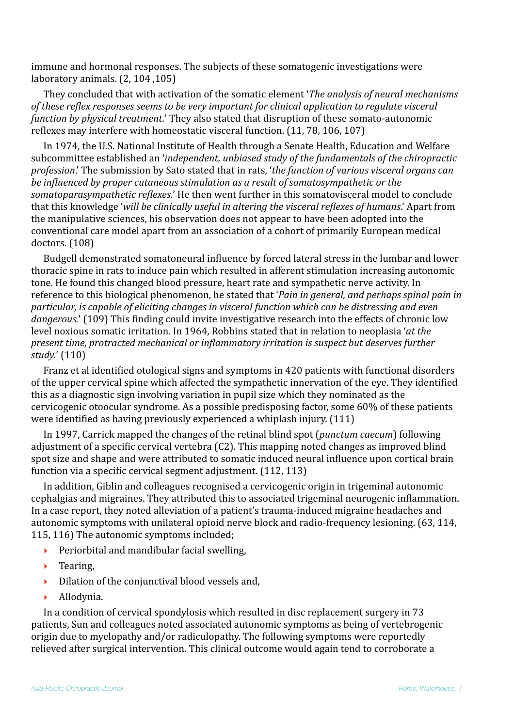immune and hormonal responses. The subjects of these somatogenic investigations were laboratory animals.  $(2, 104, 105)$ 

They concluded that with activation of the somatic element *'The analysis of neural mechanisms* of these reflex responses seems to be very important for clinical application to regulate visceral *function by physical treatment.*' They also stated that disruption of these somato-autonomic reflexes may interfere with homeostatic visceral function.  $(11, 78, 106, 107)$ 

In 1974, the U.S. National Institute of Health through a Senate Health, Education and Welfare subcommittee established an '*independent, unbiased study of the fundamentals of the chiropractic profession*.' The submission by Sato stated that in rats, 'the function of various visceral organs can *be influenced by proper cutaneous stimulation as a result of somatosympathetic or the* somatoparasympathetic reflexes.' He then went further in this somatovisceral model to conclude that this knowledge 'will be clinically useful in altering the visceral reflexes of humans.' Apart from the manipulative sciences, his observation does not appear to have been adopted into the conventional care model apart from an association of a cohort of primarily European medical doctors. (108)

Budgell demonstrated somatoneural influence by forced lateral stress in the lumbar and lower thoracic spine in rats to induce pain which resulted in afferent stimulation increasing autonomic tone. He found this changed blood pressure, heart rate and sympathetic nerve activity. In reference to this biological phenomenon, he stated that *'Pain in general, and perhaps spinal pain in* particular, is capable of eliciting changes in visceral function which can be distressing and even *dangerous.*' (109) This finding could invite investigative research into the effects of chronic low level noxious somatic irritation. In 1964, Robbins stated that in relation to neoplasia '*at the present time, protracted mechanical or inflammatory irritation is suspect but deserves further* study.' (110)

Franz et al identified otological signs and symptoms in 420 patients with functional disorders of the upper cervical spine which affected the sympathetic innervation of the eye. They identified this as a diagnostic sign involving variation in pupil size which they nominated as the cervicogenic otoocular syndrome. As a possible predisposing factor, some 60% of these patients were identified as having previously experienced a whiplash injury.  $(111)$ 

In 1997, Carrick mapped the changes of the retinal blind spot (*punctum caecum*) following adjustment of a specific cervical vertebra (C2). This mapping noted changes as improved blind spot size and shape and were attributed to somatic induced neural influence upon cortical brain function via a specific cervical segment adjustment. (112, 113)

In addition, Giblin and colleagues recognised a cervicogenic origin in trigeminal autonomic cephalgias and migraines. They attributed this to associated trigeminal neurogenic inflammation. In a case report, they noted alleviation of a patient's trauma-induced migraine headaches and autonomic symptoms with unilateral opioid nerve block and radio-frequency lesioning. (63, 114, 115, 116) The autonomic symptoms included:

- Periorbital and mandibular facial swelling.
- $\blacktriangleright$  Tearing,
- Dilation of the conjunctival blood vessels and,
- ‣ Allodynia.

In a condition of cervical spondylosis which resulted in disc replacement surgery in 73 patients, Sun and colleagues noted associated autonomic symptoms as being of vertebrogenic origin due to myelopathy and/or radiculopathy. The following symptoms were reportedly relieved after surgical intervention. This clinical outcome would again tend to corroborate a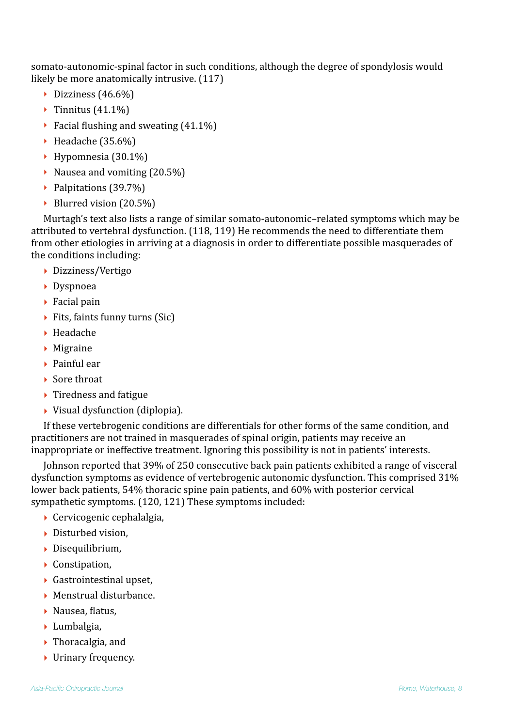somato-autonomic-spinal factor in such conditions, although the degree of spondylosis would likely be more anatomically intrusive.  $(117)$ 

- $\triangleright$  Dizziness (46.6%)
- $\triangleright$  Tinnitus (41.1%)
- $\triangleright$  Facial flushing and sweating (41.1%)
- $\blacktriangleright$  Headache (35.6%)
- $\blacktriangleright$  Hypomnesia (30.1%)
- $\blacktriangleright$  Nausea and vomiting (20.5%)
- ▶ Palpitations (39.7%)
- $\triangleright$  Blurred vision (20.5%)

Murtagh's text also lists a range of similar somato-autonomic-related symptoms which may be attributed to vertebral dysfunction. (118, 119) He recommends the need to differentiate them from other etiologies in arriving at a diagnosis in order to differentiate possible masquerades of the conditions including:

- ‣ Dizziness/Vertigo
- ‣ Dyspnoea
- $\triangleright$  Facial pain
- $\blacktriangleright$  Fits, faints funny turns (Sic)
- ‣ Headache
- ‣ Migraine
- $\blacktriangleright$  Painful ear
- $\blacktriangleright$  Sore throat
- $\blacktriangleright$  Tiredness and fatigue
- $\triangleright$  Visual dysfunction (diplopia).

If these vertebrogenic conditions are differentials for other forms of the same condition, and practitioners are not trained in masquerades of spinal origin, patients may receive an inappropriate or ineffective treatment. Ignoring this possibility is not in patients' interests.

Johnson reported that 39% of 250 consecutive back pain patients exhibited a range of visceral dysfunction symptoms as evidence of vertebrogenic autonomic dysfunction. This comprised 31% lower back patients, 54% thoracic spine pain patients, and 60% with posterior cervical sympathetic symptoms. (120, 121) These symptoms included:

- $\triangleright$  Cervicogenic cephalalgia,
- ▶ Disturbed vision,
- ‣ Disequilibrium,
- ‣ Constipation,
- $\blacktriangleright$  Gastrointestinal upset,
- $\blacktriangleright$  Menstrual disturbance.
- $\blacktriangleright$  Nausea, flatus,
- ‣ Lumbalgia,
- $\blacktriangleright$  Thoracalgia, and
- $\blacktriangleright$  Urinary frequency.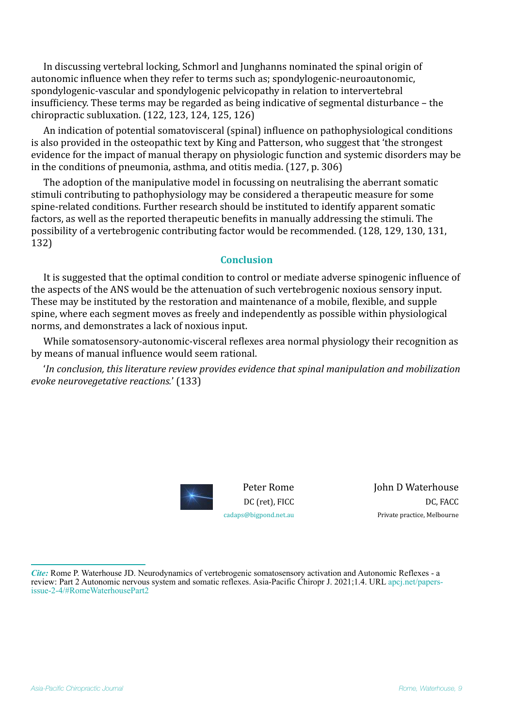In discussing vertebral locking, Schmorl and Junghanns nominated the spinal origin of autonomic influence when they refer to terms such as; spondylogenic-neuroautonomic, spondylogenic-vascular and spondylogenic pelvicopathy in relation to intervertebral insufficiency. These terms may be regarded as being indicative of segmental disturbance – the chiropractic subluxation.  $(122, 123, 124, 125, 126)$ 

An indication of potential somatovisceral (spinal) influence on pathophysiological conditions is also provided in the osteopathic text by King and Patterson, who suggest that 'the strongest evidence for the impact of manual therapy on physiologic function and systemic disorders may be in the conditions of pneumonia, asthma, and otitis media.  $(127, p. 306)$ 

The adoption of the manipulative model in focussing on neutralising the aberrant somatic stimuli contributing to pathophysiology may be considered a therapeutic measure for some spine-related conditions. Further research should be instituted to identify apparent somatic factors, as well as the reported therapeutic benefits in manually addressing the stimuli. The possibility of a vertebrogenic contributing factor would be recommended. (128, 129, 130, 131, 132)

### **Conclusion**

It is suggested that the optimal condition to control or mediate adverse spinogenic influence of the aspects of the ANS would be the attenuation of such vertebrogenic noxious sensory input. These may be instituted by the restoration and maintenance of a mobile, flexible, and supple spine, where each segment moves as freely and independently as possible within physiological norms, and demonstrates a lack of noxious input.

While somatosensory-autonomic-visceral reflexes area normal physiology their recognition as by means of manual influence would seem rational.

*'In conclusion, this literature review provides evidence that spinal manipulation and mobilization evoke neurovegetative reactions.'* (133)



Peter Rome DC (ret), FICC [cadaps@bigpond.net.au](mailto:cadaps@bigpond.net.au)

**John D Waterhouse** DC, FACC Private practice, Melbourne

*Cite:* Rome P. Waterhouse JD. Neurodynamics of vertebrogenic somatosensory activation and Autonomic Reflexes - a review: Part 2 Autonomic nervous system and somatic reflexes. Asia-Pacific Chiropr J. 2021;1.4. URL [apcj.net/papers](http://apcj.net/papers-issue-2-4/#RomeWaterhousePart2)[issue-2-4/#RomeWaterhousePart2](http://apcj.net/papers-issue-2-4/#RomeWaterhousePart2)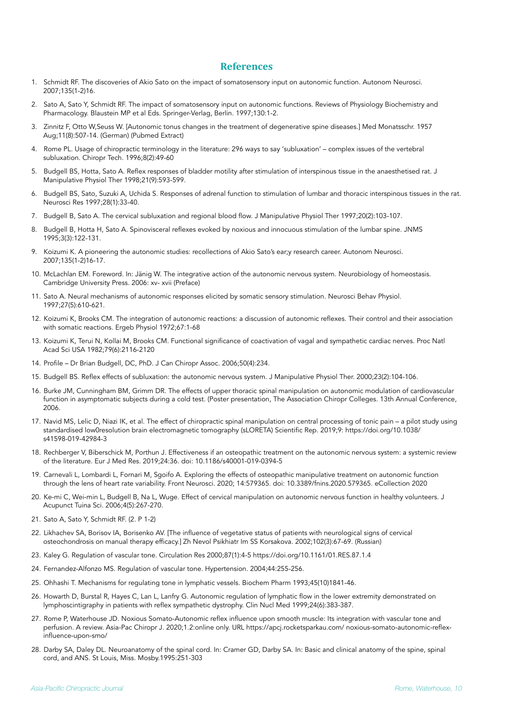#### **References**

- 1. Schmidt RF. The discoveries of Akio Sato on the impact of somatosensory input on autonomic function. Autonom Neurosci. 2007;135(1-2)16.
- 2. Sato A, Sato Y, Schmidt RF. The impact of somatosensory input on autonomic functions. Reviews of Physiology Biochemistry and Pharmacology. Blaustein MP et al Eds. Springer-Verlag, Berlin. 1997;130:1-2.
- 3. Zinnitz F, Otto W,Seuss W. [Autonomic tonus changes in the treatment of degenerative spine diseases.] Med Monatsschr. 1957 Aug;11(8):507-14. (German) (Pubmed Extract)
- 4. Rome PL. Usage of chiropractic terminology in the literature: 296 ways to say 'subluxation' complex issues of the vertebral subluxation. Chiropr Tech. 1996;8(2):49-60
- 5. Budgell BS, Hotta, Sato A. Reflex responses of bladder motility after stimulation of interspinous tissue in the anaesthetised rat. J Manipulative Physiol Ther 1998;21(9):593-599.
- 6. Budgell BS, Sato, Suzuki A, Uchida S. Responses of adrenal function to stimulation of lumbar and thoracic interspinous tissues in the rat. Neurosci Res 1997;28(1):33-40.
- 7. Budgell B, Sato A. The cervical subluxation and regional blood flow. J Manipulative Physiol Ther 1997;20(2):103-107.
- 8. Budgell B, Hotta H, Sato A. Spinovisceral reflexes evoked by noxious and innocuous stimulation of the lumbar spine. JNMS 1995;3(3):122-131.
- 9. Koizumi K. A pioneering the autonomic studies: recollections of Akio Sato's ear;y research career. Autonom Neurosci. 2007;135(1-2)16-17.
- 10. McLachlan EM. Foreword. In: Jänig W. The integrative action of the autonomic nervous system. Neurobiology of homeostasis. Cambridge University Press. 2006: xv- xvii (Preface)
- 11. Sato A. Neural mechanisms of autonomic responses elicited by somatic sensory stimulation. Neurosci Behav Physiol. 1997;27(5):610-621.
- 12. Koizumi K, Brooks CM. The integration of autonomic reactions: a discussion of autonomic reflexes. Their control and their association with somatic reactions. Ergeb Physiol 1972:67:1-68
- 13. Koizumi K, Terui N, Kollai M, Brooks CM. Functional significance of coactivation of vagal and sympathetic cardiac nerves. Proc Natl Acad Sci USA 1982;79(6):2116-2120
- 14. Profile Dr Brian Budgell, DC, PhD. J Can Chiropr Assoc. 2006;50(4):234.
- 15. Budgell BS. Reflex effects of subluxation: the autonomic nervous system. J Manipulative Physiol Ther. 2000;23(2):104-106.
- 16. Burke JM, Cunningham BM, Grimm DR. The effects of upper thoracic spinal manipulation on autonomic modulation of cardiovascular function in asymptomatic subjects during a cold test. (Poster presentation, The Association Chiropr Colleges. 13th Annual Conference, 2006.
- 17. Navid MS, Lelic D, Niazi IK, et al. The effect of chiropractic spinal manipulation on central processing of tonic pain a pilot study using standardised low0resolution brain electromagnetic tomography (sLORETA) Scientific Rep. 2019;9: https://doi.org/10.1038/ s41598-019-42984-3
- 18. Rechberger V, Biberschick M, Porthun J. Effectiveness if an osteopathic treatment on the autonomic nervous system: a systemic review of the literature. Eur J Med Res. 2019;24:36. doi: [10.1186/s40001-019-0394-5](https://dx.doi.org/10.1186/s40001-019-0394-5)
- 19. Carnevali L, Lombardi L, Fornari M, Sgoifo A. Exploring the effects of osteopathic manipulative treatment on autonomic function through the lens of heart rate variability. Front Neurosci. 2020; 14:579365. doi: 10.3389/fnins.2020.579365. eCollection 2020
- 20. Ke-mi C, Wei-min L, Budgell B, Na L, Wuge. Effect of cervical manipulation on autonomic nervous function in healthy volunteers. J Acupunct Tuina Sci. 2006;4(5):267-270.
- 21. Sato A, Sato Y, Schmidt RF. (2. P 1-2)
- 22. Likhachev SA, Borisov IA, Borisenko AV. [The influence of vegetative status of patients with neurological signs of cervical osteochondrosis on manual therapy efficacy.] Zh Nevol Psikhiatr Im SS Korsakova. 2002;102(3):67-69. (Russian)
- 23. Kaley G. Regulation of vascular tone. Circulation Res 2000;87(1):4-5 <https://doi.org/10.1161/01.RES.87.1.4>
- 24. Fernandez-Alfonzo MS. Regulation of vascular tone. Hypertension. 2004;44:255-256.
- 25. Ohhashi T. Mechanisms for regulating tone in lymphatic vessels. Biochem Pharm 1993;45(10)1841-46.
- 26. Howarth D, Burstal R, Hayes C, Lan L, Lanfry G. Autonomic regulation of lymphatic flow in the lower extremity demonstrated on lymphoscintigraphy in patients with reflex sympathetic dystrophy. Clin Nucl Med 1999;24(6):383-387.
- 27. Rome P, Waterhouse JD. Noxious Somato-Autonomic reflex influence upon smooth muscle: Its integration with vascular tone and perfusion. A review. Asia-Pac Chiropr J. 2020;1.2:online only. URL https://apcj.rocketsparkau.com/ noxious-somato-autonomic-reflexinfluence-upon-smo/
- 28. Darby SA, Daley DL. Neuroanatomy of the spinal cord. In: Cramer GD, Darby SA. In: Basic and clinical anatomy of the spine, spinal cord, and ANS. St Louis, Miss. Mosby.1995:251-303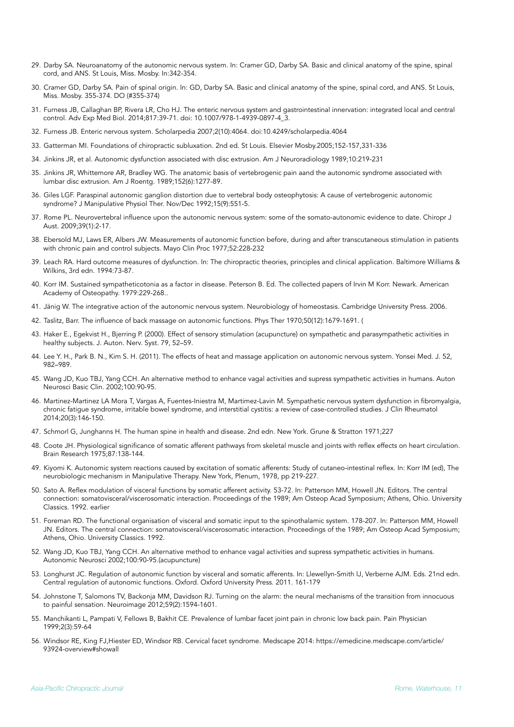- 29. Darby SA. Neuroanatomy of the autonomic nervous system. In: Cramer GD, Darby SA. Basic and clinical anatomy of the spine, spinal cord, and ANS. St Louis, Miss. Mosby. In:342-354.
- 30. Cramer GD, Darby SA. Pain of spinal origin. In: GD, Darby SA. Basic and clinical anatomy of the spine, spinal cord, and ANS. St Louis, Miss. Mosby. 355-374. DO (#355-374)
- 31. Furness JB, Callaghan BP, Rivera LR, Cho HJ. The enteric nervous system and gastrointestinal innervation: integrated local and central control. Adv Exp Med Biol. 2014;817:39-71. doi: 10.1007/978-1-4939-0897-4\_3.
- 32. Furness JB. Enteric nervous system. Scholarpedia 2007;2(10):4064. [doi:10.4249/scholarpedia.4064](http://dx.doi.org/10.4249/scholarpedia.4064)
- 33. Gatterman MI. Foundations of chiropractic subluxation. 2nd ed. St Louis. Elsevier Mosby.2005;152-157,331-336
- 34. Jinkins JR, et al. Autonomic dysfunction associated with disc extrusion. Am J Neuroradiology 1989;10:219-231
- 35. Jinkins JR, Whittemore AR, Bradley WG. The anatomic basis of vertebrogenic pain aand the autonomic syndrome associated with lumbar disc extrusion. Am J Roentg. 1989;152(6):1277-89.
- 36. Giles LGF. Paraspinal autonomic ganglion distortion due to vertebral body osteophytosis: A cause of vertebrogenic autonomic syndrome? J Manipulative Physiol Ther. Nov/Dec 1992;15(9):551-5.
- 37. Rome PL. Neurovertebral influence upon the autonomic nervous system: some of the somato-autonomic evidence to date. Chiropr J Aust. 2009;39(1):2-17.
- 38. Ebersold MJ, Laws ER, Albers JW. Measurements of autonomic function before, during and after transcutaneous stimulation in patients with chronic pain and control subjects. Mayo Clin Proc 1977;52:228-232
- 39. Leach RA. Hard outcome measures of dysfunction. In: The chiropractic theories, principles and clinical application. Baltimore Williams & Wilkins, 3rd edn. 1994:73-87.
- 40. Korr IM. Sustained sympatheticotonia as a factor in disease. Peterson B. Ed. The collected papers of Irvin M Korr. Newark. American Academy of Osteopathy. 1979:229-268..
- 41. Jänig W. The integrative action of the autonomic nervous system. Neurobiology of homeostasis. Cambridge University Press. 2006.
- 42. Taslitz, Barr. The influence of back massage on autonomic functions. Phys Ther 1970;50(12):1679-1691. (
- 43. Haker E., Egekvist H., Bjerring P. (2000). Effect of sensory stimulation (acupuncture) on sympathetic and parasympathetic activities in healthy subjects. J. Auton. Nerv. Syst. 79, 52–59.
- 44. Lee Y. H., Park B. N., Kim S. H. (2011). The effects of heat and massage application on autonomic nervous system. Yonsei Med. J. 52, 982–989.
- 45. Wang JD, Kuo TBJ, Yang CCH. An alternative method to enhance vagal activities and supress sympathetic activities in humans. Auton Neurosci Basic Clin. 2002;100:90-95.
- 46. Martinez-Martinez LA Mora T, Vargas A, Fuentes-Iniestra M, Martimez-Lavin M. Sympathetic nervous system dysfunction in fibromyalgia, chronic fatigue syndrome, irritable bowel syndrome, and interstitial cystitis: a review of case-controlled studies. J Clin Rheumatol 2014;20(3):146-150.
- 47. Schmorl G, Junghanns H. The human spine in health and disease. 2nd edn. New York. Grune & Stratton 1971;227
- 48. Coote JH. Physiological significance of somatic afferent pathways from skeletal muscle and joints with reflex effects on heart circulation. Brain Research 1975;87:138-144.
- 49. Kiyomi K. Autonomic system reactions caused by excitation of somatic afferents: Study of cutaneo-intestinal reflex. In: Korr IM (ed), The neurobiologic mechanism in Manipulative Therapy. New York, Plenum, 1978, pp 219-227.
- 50. Sato A. Reflex modulation of visceral functions by somatic afferent activity. 53-72. In: Patterson MM, Howell JN. Editors. The central connection: somatovisceral/viscerosomatic interaction. Proceedings of the 1989; Am Osteop Acad Symposium; Athens, Ohio. University Classics. 1992. earlier
- 51. Foreman RD. The functional organisation of visceral and somatic input to the spinothalamic system. 178-207. In: Patterson MM, Howell JN. Editors. The central connection: somatovisceral/viscerosomatic interaction. Proceedings of the 1989; Am Osteop Acad Symposium; Athens, Ohio. University Classics. 1992.
- 52. Wang JD, Kuo TBJ, Yang CCH. An alternative method to enhance vagal activities and supress sympathetic activities in humans. Autonomic Neurosci 2002;100:90-95.(acupuncture)
- 53. Longhurst JC. Regulation of autonomic function by visceral and somatic afferents. In: Llewellyn-Smith IJ, Verberne AJM. Eds. 21nd edn. Central regulation of autonomic functions. Oxford. Oxford University Press. 2011. 161-179
- 54. Johnstone T, Salomons TV, Backonja MM, Davidson RJ. Turning on the alarm: the neural mechanisms of the transition from innocuous to painful sensation. Neuroimage 2012;59(2):1594-1601.
- 55. Manchikanti L, Pampati V, Fellows B, Bakhit CE. Prevalence of lumbar facet joint pain in chronic low back pain. Pain Physician 1999;2(3):59-64
- 56. Windsor RE, King FJ,Hiester ED, Windsor RB. Cervical facet syndrome. Medscape 2014: https://emedicine.medscape.com/article/ 93924-overview#showall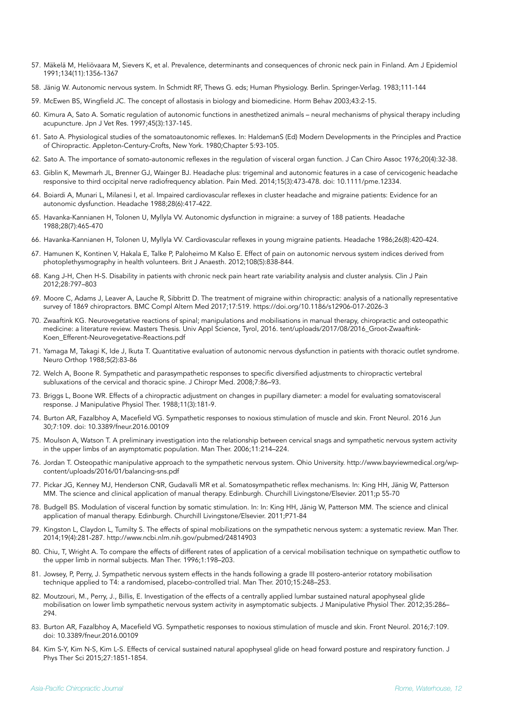- 57. Mäkelä M, Heliövaara M, Sievers K, et al. Prevalence, determinants and consequences of chronic neck pain in Finland. Am J Epidemiol 1991;134(11):1356-1367
- 58. Jänig W. Autonomic nervous system. In Schmidt RF, Thews G. eds; Human Physiology. Berlin. Springer-Verlag. 1983;111-144
- 59. McEwen BS, Wingfield JC. The concept of allostasis in biology and biomedicine. Horm Behav 2003;43:2-15.
- 60. Kimura A, Sato A. Somatic regulation of autonomic functions in anesthetized animals neural mechanisms of physical therapy including acupuncture. Jpn J Vet Res. 1997;45(3):137-145.
- 61. Sato A. Physiological studies of the somatoautonomic reflexes. In: HaldemanS (Ed) Modern Developments in the Principles and Practice of Chiropractic. Appleton-Century-Crofts, New York. 1980;Chapter 5:93-105.
- 62. Sato A. The importance of somato-autonomic reflexes in the regulation of visceral organ function. J Can Chiro Assoc 1976;20(4):32-38.
- 63. Giblin K, Mewmarh JL, Brenner GJ, Wainger BJ. Headache plus: trigeminal and autonomic features in a case of cervicogenic headache responsive to third occipital nerve radiofrequency ablation. Pain Med. 2014;15(3):473-478. doi: 10.1111/pme.12334.
- 64. Boiardi A, Munari L, Milanesi I, et al. Impaired cardiovascular reflexes in cluster headache and migraine patients: Evidence for an autonomic dysfunction. Headache 1988;28(6):417-422.
- 65. Havanka-Kannianen H, Tolonen U, Myllyla VV. Autonomic dysfunction in migraine: a survey of 188 patients. Headache 1988;28(7):465-470
- 66. Havanka-Kannianen H, Tolonen U, Myllyla VV. Cardiovascular reflexes in young migraine patients. Headache 1986;26(8):420-424.
- 67. Hamunen K, Kontinen V, Hakala E, Talke P, Paloheimo M Kalso E. Effect of pain on autonomic nervous system indices derived from photoplethysmography in health volunteers. Brit J Anaesth. 2012;108(5):838-844.
- 68. Kang J-H, Chen H-S. Disability in patients with chronic neck pain heart rate variability analysis and cluster analysis. Clin J Pain 2012;28:797–803
- 69. Moore C, Adams J, Leaver A, Lauche R, Sibbritt D. The treatment of migraine within chiropractic: analysis of a nationally representative survey of 1869 chiropractors. BMC Compl Altern Med 2017;17:519. https://doi.org/10.1186/s12906-017-2026-3
- 70. Zwaaftink KG. Neurovegetative reactions of spinal; manipulations and mobilisations in manual therapy, chiropractic and osteopathic medicine: a literature review. Masters Thesis. Univ Appl Science, Tyrol, 2016. tent/uploads/2017/08/2016\_Groot-Zwaaftink-Koen\_Efferent-Neurovegetative-Reactions.pdf
- 71. Yamaga M, Takagi K, Ide J, Ikuta T. Quantitative evaluation of autonomic nervous dysfunction in patients with thoracic outlet syndrome. Neuro Orthop 1988;5(2):83-86
- 72. Welch A, Boone R. Sympathetic and parasympathetic responses to specific diversified adjustments to chiropractic vertebral subluxations of the cervical and thoracic spine. J Chiropr Med. 2008;7:86–93.
- 73. Briggs L, Boone WR. Effects of a chiropractic adjustment on changes in pupillary diameter: a model for evaluating somatovisceral response. J Manipulative Physiol Ther. 1988;11(3):181-9.
- 74. Burton AR, Fazalbhoy A, Macefield VG. Sympathetic responses to noxious stimulation of muscle and skin. Front Neurol. 2016 Jun 30;7:109. doi: 10.3389/fneur.2016.00109
- 75. Moulson A, Watson T. A preliminary investigation into the relationship between cervical snags and sympathetic nervous system activity in the upper limbs of an asymptomatic population. Man Ther. 2006;11:214–224.
- 76. Jordan T. Osteopathic manipulative approach to the sympathetic nervous system. Ohio University. http://www.bayviewmedical.org/wpcontent/uploads/2016/01/balancing-sns.pdf
- 77. Pickar JG, Kenney MJ, Henderson CNR, Gudavalli MR et al. Somatosympathetic reflex mechanisms. In: King HH, Jänig W, Patterson MM. The science and clinical application of manual therapy. Edinburgh. Churchill Livingstone/Elsevier. 2011;p 55-70
- 78. Budgell BS. Modulation of visceral function by somatic stimulation. In: In: King HH, Jänig W, Patterson MM. The science and clinical application of manual therapy. Edinburgh. Churchill Livingstone/Elsevier. 2011;P71-84
- 79. Kingston L, Claydon L, Tumilty S. The effects of spinal mobilizations on the sympathetic nervous system: a systematic review. Man Ther. 2014;19(4):281-287. http://www.ncbi.nlm.nih.gov/pubmed/24814903
- 80. Chiu, T, Wright A. To compare the effects of different rates of application of a cervical mobilisation technique on sympathetic outflow to the upper limb in normal subjects. Man Ther. 1996;1:198–203.
- 81. Jowsey, P, Perry, J. Sympathetic nervous system effects in the hands following a grade III postero-anterior rotatory mobilisation technique applied to T4: a randomised, placebo-controlled trial. Man Ther. 2010;15:248–253.
- 82. Moutzouri, M., Perry, J., Billis, E. Investigation of the effects of a centrally applied lumbar sustained natural apophyseal glide mobilisation on lower limb sympathetic nervous system activity in asymptomatic subjects. J Manipulative Physiol Ther. 2012;35:286– 294.
- 83. Burton AR, Fazalbhoy A, Macefield VG. Sympathetic responses to noxious stimulation of muscle and skin. Front Neurol. 2016;7:109. doi: 10.3389/fneur.2016.00109
- 84. Kim S-Y, Kim N-S, Kim L-S. Effects of cervical sustained natural apophyseal glide on head forward posture and respiratory function. J Phys Ther Sci 2015;27:1851-1854.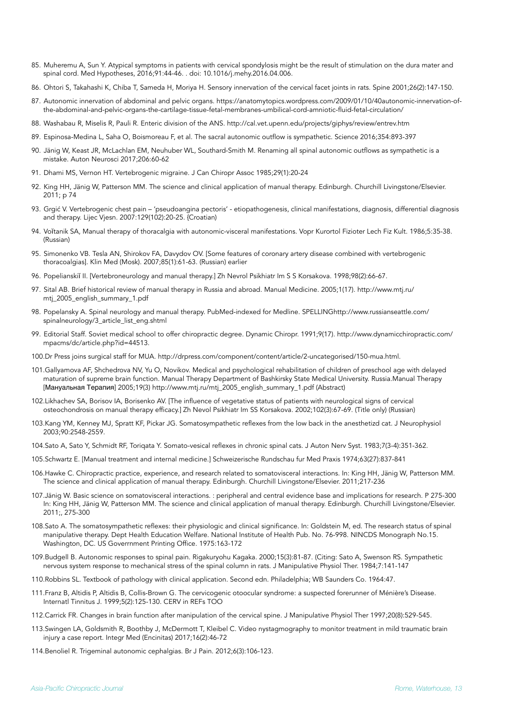- 85. Muheremu A, Sun Y. Atypical symptoms in patients with cervical spondylosis might be the result of stimulation on the dura mater and spinal cord. Med Hypotheses, 2016;91:44-46. . doi: 10.1016/j.mehy.2016.04.006.
- 86. Ohtori S, Takahashi K, Chiba T, Sameda H, Moriya H. Sensory innervation of the cervical facet joints in rats. Spine 2001;26(2):147-150.
- 87. Autonomic innervation of abdominal and pelvic organs. https://anatomytopics.wordpress.com/2009/01/10/40autonomic-innervation-ofthe-abdominal-and-pelvic-organs-the-cartilage-tissue-fetal-membranes-umbilical-cord-amniotic-fluid-fetal-circulation/
- 88. Washabau R, Miselis R, Pauli R. Enteric division of the ANS. <http://cal.vet.upenn.edu/projects/giphys/review/entrev.htm>
- 89. Espinosa-Medina L, Saha O, Boismoreau F, et al. The sacral autonomic outflow is sympathetic. Science 2016;354:893-397
- 90. Jänig W, Keast JR, McLachlan EM, Neuhuber WL, Southard-Smith M. Renaming all spinal autonomic outflows as sympathetic is a mistake. Auton Neurosci 2017;206:60-62
- 91. Dhami MS, Vernon HT. Vertebrogenic migraine. J Can Chiropr Assoc 1985;29(1):20-24
- 92. King HH, Jänig W, Patterson MM. The science and clinical application of manual therapy. Edinburgh. Churchill Livingstone/Elsevier. 2011; p 74
- 93. [Grgi](https://www.ncbi.nlm.nih.gov/pubmed/?term=Grgi%25C4%2587%2520V%255BAuthor%255D&cauthor=true&cauthor_uid=17489514)ć V. Vertebrogenic chest pain 'pseudoangina pectoris' etiopathogenesis, clinical manifestations, diagnosis, differential diagnosis and therapy. Lijec Vjesn. 2007:129(102):20-25. {Croatian)
- 94. Voĭtanik SA, Manual therapy of thoracalgia with autonomic-visceral manifestations. Vopr Kurortol Fizioter Lech Fiz Kult. 1986;5:35-38. (Russian)
- 95. Simonenko VB. Tesla AN, Shirokov FA, Davydov OV. [Some features of coronary artery disease combined with vertebrogenic thoracoalgias]. Klin Med (Mosk). 2007;85(1):61-63. (Russian) earlier
- 96. Popelianskiĭ II. [Vertebroneurology and manual therapy.] Zh Nevrol Psikhiatr Im S S Korsakova. 1998;98(2):66-67.
- 97. Sital AB. Brief historical review of manual therapy in Russia and abroad. Manual Medicine. 2005;1(17). [http://www.mtj.ru/](http://www.mtj.ru/mtj_2005_english_summary_1.pdf) [mtj\\_2005\\_english\\_summary\\_1.pdf](http://www.mtj.ru/mtj_2005_english_summary_1.pdf)
- 98. Popelansky A. Spinal neurology and manual therapy. PubMed-indexed for Medline. SPELLIN[Ghttp://www.russianseattle.com/](http://www.russianseattle.com/spinalneurology/3_article_list_eng.shtml) [spinalneurology/3\\_article\\_list\\_eng.shtml](http://www.russianseattle.com/spinalneurology/3_article_list_eng.shtml)
- 99. Editorial Staff. Soviet medical school to offer chiropractic degree. Dynamic Chiropr. 1991;9(17). http://www.dynamicchiropractic.com/ mpacms/dc/article.php?id=44513.
- 100.Dr Press joins surgical staff for MUA. http://drpress.com/component/content/article/2-uncategorised/150-mua.html.
- 101.Gallyamova AF, Shchedrova NV, Yu O, Novikov. Medical and psychological rehabilitation of children of preschool age with delayed maturation of supreme brain function. Manual Therapy Department of Bashkirsky State Medical University. Russia.Manual Therapy [Мануальная Терапия] 2005;19(3) [http://www.mtj.ru/mtj\\_2005\\_english\\_summary\\_1.pdf](http://www.mtj.ru/mtj_2005_english_summary_1.pdf) (Abstract)
- 102.Likhachev SA, Borisov IA, Borisenko AV. [The influence of vegetative status of patients with neurological signs of cervical osteochondrosis on manual therapy efficacy.] Zh Nevol Psikhiatr Im SS Korsakova. 2002;102(3):67-69. (Title only) (Russian)
- 103.Kang YM, Kenney MJ, Spratt KF, Pickar JG. Somatosympathetic reflexes from the low back in the anesthetizd cat. J Neurophysiol 2003;90:2548-2559.
- 104.Sato A, Sato Y, Schmidt RF, Toriqata Y. Somato-vesical reflexes in chronic spinal cats. J Auton Nerv Syst. 1983;7(3-4):351-362.
- 105.Schwartz E. [Manual treatment and internal medicine.] Schweizerische Rundschau fur Med Praxis 1974;63(27):837-841
- 106.Hawke C. Chiropractic practice, experience, and research related to somatovisceral interactions. In: King HH, Jänig W, Patterson MM. The science and clinical application of manual therapy. Edinburgh. Churchill Livingstone/Elsevier. 2011;217-236
- 107.Jänig W. Basic science on somatovisceral interactions. : peripheral and central evidence base and implications for research. P 275-300 In: King HH, Jänig W, Patterson MM. The science and clinical application of manual therapy. Edinburgh. Churchill Livingstone/Elsevier.  $2011 \cdot 275 - 300$
- 108.Sato A. The somatosympathetic reflexes: their physiologic and clinical significance. In: Goldstein M, ed. The research status of spinal manipulative therapy. Dept Health Education Welfare. National Institute of Health Pub. No. 76-998. NINCDS Monograph No.15. Washington, DC. US Goverrnment Printing Office. 1975:163-172
- 109.Budgell B. Autonomic responses to spinal pain. Rigakuryohu Kagaka. 2000;15(3):81-87. (Citing: Sato A, Swenson RS. Sympathetic nervous system response to mechanical stress of the spinal column in rats. J Manipulative Physiol Ther. 1984;7:141-147
- 110.Robbins SL. Textbook of pathology with clinical application. Second edn. Philadelphia; WB Saunders Co. 1964:47.
- 111.Franz B, Altidis P, Altidis B, Collis-Brown G. The cervicogenic otoocular syndrome: a suspected forerunner of Ménière's Disease. Internatl Tinnitus J. 1999;5(2):125-130. CERV in REFs TOO
- 112.Carrick FR. Changes in brain function after manipulation of the cervical spine. J Manipulative Physiol Ther 1997;20(8):529-545.
- 113.Swingen LA, Goldsmith R, Boothby J, McDermott T, Kleibel C. Video nystagmography to monitor treatment in mild traumatic brain injury a case report. Integr Med (Encinitas) 2017;16(2):46-72
- 114.Benoliel R. Trigeminal autonomic cephalgias. Br J Pain. 2012;6(3):106-123.